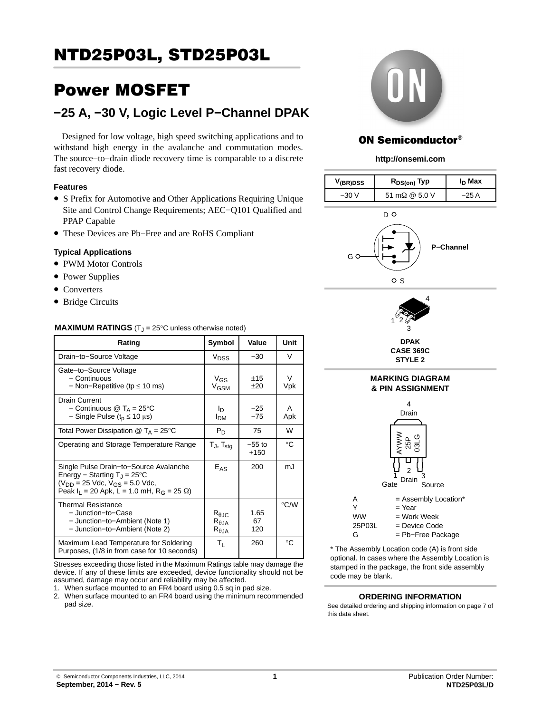## Power MOSFET

## **−25 A, −30 V, Logic Level P−Channel DPAK**

Designed for low voltage, high speed switching applications and to withstand high energy in the avalanche and commutation modes. The source−to−drain diode recovery time is comparable to a discrete fast recovery diode.

### **Features**

- S Prefix for Automotive and Other Applications Requiring Unique Site and Control Change Requirements; AEC−Q101 Qualified and PPAP Capable
- These Devices are Pb−Free and are RoHS Compliant

### **Typical Applications**

- PWM Motor Controls
- Power Supplies
- Converters
- Bridge Circuits

### **MAXIMUM RATINGS**  $(T<sub>J</sub> = 25^{\circ}C$  unless otherwise noted)

| Rating                                                                                                                                                                                        | Symbol                                                      | Value              | Unit               |
|-----------------------------------------------------------------------------------------------------------------------------------------------------------------------------------------------|-------------------------------------------------------------|--------------------|--------------------|
| Drain-to-Source Voltage                                                                                                                                                                       | V <sub>DSS</sub>                                            | $-30$              | V                  |
| Gate-to-Source Voltage<br>- Continuous<br>$-$ Non-Repetitive (tp $\leq$ 10 ms)                                                                                                                | $V_{GS}$<br>V <sub>GSM</sub>                                | ±15<br>$+20$       | V<br>Vpk           |
| Drain Current<br>- Continuous $\textcircled{1}$ T <sub>A</sub> = 25°C<br>- Single Pulse ( $t_p \le 10 \mu s$ )                                                                                | In.<br>Ірм                                                  | $-25$<br>$-75$     | А<br>Apk           |
| Total Power Dissipation $\textcircled{a}$ T <sub>A</sub> = 25 <sup>o</sup> C                                                                                                                  | $P_D$                                                       | 75                 | W                  |
| Operating and Storage Temperature Range                                                                                                                                                       | $T_{J}$ , $T_{\text{stq}}$                                  | $-55$ to<br>$+150$ | °C                 |
| Single Pulse Drain-to-Source Avalanche<br>Energy – Starting $T_1 = 25^{\circ}C$<br>$(V_{DD} = 25$ Vdc, $V_{GS} = 5.0$ Vdc,<br>Peak $I_1 = 20$ Apk, L = 1.0 mH, R <sub>G</sub> = 25 $\Omega$ ) | $E_{AS}$                                                    | 200                | mJ                 |
| <b>Thermal Resistance</b><br>- Junction-to-Case<br>- Junction-to-Ambient (Note 1)<br>- Junction-to-Ambient (Note 2)                                                                           | $R_{\theta \text{JC}}$<br>$R_{\theta,JA}$<br>$R_{\theta$ JA | 1.65<br>67<br>120  | $\rm ^{\circ}$ C/W |
| Maximum Lead Temperature for Soldering<br>Purposes, (1/8 in from case for 10 seconds)                                                                                                         | Τı.                                                         | 260                | $^{\circ}$ C       |

Stresses exceeding those listed in the Maximum Ratings table may damage the device. If any of these limits are exceeded, device functionality should not be assumed, damage may occur and reliability may be affected.

1. When surface mounted to an FR4 board using 0.5 sq in pad size.

2. When surface mounted to an FR4 board using the minimum recommended pad size.



## **ON Semiconductor®**

### **http://onsemi.com**

| $V_{(BR)DSS}$                     | R <sub>DS(on)</sub> Typ | I <sub>D</sub> Max |  |  |  |  |
|-----------------------------------|-------------------------|--------------------|--|--|--|--|
| $-30V$                            | 51 mΩ @ 5.0 V           | $-25A$             |  |  |  |  |
| D<br><b>P-Channel</b><br>G C<br>S |                         |                    |  |  |  |  |
| 4<br>1<br>3<br><b>DPAK</b>        |                         |                    |  |  |  |  |

**CASE 369C STYLE 2**



\* The Assembly Location code (A) is front side optional. In cases where the Assembly Location is stamped in the package, the front side assembly code may be blank.

#### **ORDERING INFORMATION**

See detailed ordering and shipping information on page [7](#page-6-0) of this data sheet.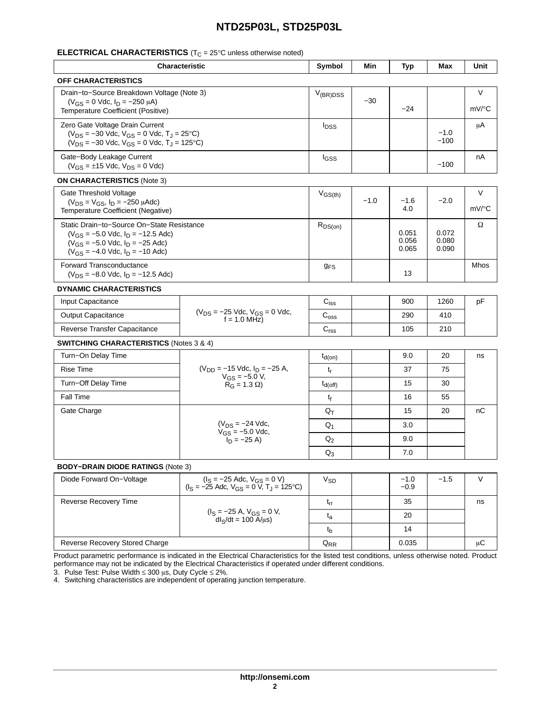## **ELECTRICAL CHARACTERISTICS** (T<sub>C</sub> = 25°C unless otherwise noted)

| <b>Characteristic</b>                                                                                                                                                      |                                                                                                                    | Symbol                      | <b>Min</b> | <b>Typ</b>                    | Max                     | Unit            |
|----------------------------------------------------------------------------------------------------------------------------------------------------------------------------|--------------------------------------------------------------------------------------------------------------------|-----------------------------|------------|-------------------------------|-------------------------|-----------------|
| <b>OFF CHARACTERISTICS</b>                                                                                                                                                 |                                                                                                                    |                             |            |                               |                         |                 |
| Drain-to-Source Breakdown Voltage (Note 3)<br>$(V_{GS} = 0$ Vdc, $I_D = -250 \mu A$ )<br>Temperature Coefficient (Positive)                                                |                                                                                                                    | $V_{(BR)DSS}$               | $-30$      | $-24$                         |                         | $\vee$<br>mV/°C |
| Zero Gate Voltage Drain Current<br>$(V_{DS} = -30$ Vdc, $V_{GS} = 0$ Vdc, $T_J = 25$ °C)<br>$(V_{DS} = -30$ Vdc, $V_{GS} = 0$ Vdc, $T_J = 125$ °C)                         |                                                                                                                    | $I_{DSS}$                   |            |                               | $-1.0$<br>$-100$        | μA              |
| Gate-Body Leakage Current<br>$(V_{GS} = \pm 15$ Vdc, $V_{DS} = 0$ Vdc)                                                                                                     |                                                                                                                    | <b>I</b> GSS                |            |                               | $-100$                  | nA              |
| <b>ON CHARACTERISTICS (Note 3)</b>                                                                                                                                         |                                                                                                                    |                             |            |                               |                         |                 |
| Gate Threshold Voltage<br>$(V_{DS} = V_{GS}, I_D = -250 \mu A d c)$<br>Temperature Coefficient (Negative)                                                                  |                                                                                                                    | $V_{GS(th)}$                | $-1.0$     | $-1.6$<br>4.0                 | $-2.0$                  | $\vee$<br>mV/°C |
| Static Drain-to-Source On-State Resistance<br>$(V_{GS} = -5.0$ Vdc, $I_D = -12.5$ Adc)<br>$(V_{GS} = -5.0$ Vdc, $I_D = -25$ Adc)<br>$(V_{GS} = -4.0$ Vdc, $I_D = -10$ Adc) |                                                                                                                    | $R_{DS(on)}$                |            | 0.051<br>0.056<br>0.065       | 0.072<br>0.080<br>0.090 | Ω               |
| <b>Forward Transconductance</b><br>$(V_{DS} = -8.0$ Vdc, $I_D = -12.5$ Adc)                                                                                                |                                                                                                                    | <b>g<sub>FS</sub></b>       |            | 13                            |                         | Mhos            |
| <b>DYNAMIC CHARACTERISTICS</b>                                                                                                                                             |                                                                                                                    |                             |            |                               |                         |                 |
| Input Capacitance                                                                                                                                                          |                                                                                                                    | $\mathbf{C}_{\mathsf{iss}}$ |            | 900                           | 1260                    | pF              |
| <b>Output Capacitance</b>                                                                                                                                                  | $(V_{DS} = -25$ Vdc, $V_{GS} = 0$ Vdc,<br>$f = 1.0$ MHz)                                                           | $\mathrm{C}_{\mathrm{oss}}$ |            | 290                           | 410                     |                 |
| Reverse Transfer Capacitance                                                                                                                                               |                                                                                                                    | C <sub>rss</sub>            |            | 105                           | 210                     |                 |
| <b>SWITCHING CHARACTERISTICS (Notes 3 &amp; 4)</b>                                                                                                                         |                                                                                                                    |                             |            |                               |                         |                 |
| Turn-On Delay Time                                                                                                                                                         |                                                                                                                    | $t_{d(on)}$                 |            | 9.0                           | 20                      | ns              |
| <b>Rise Time</b>                                                                                                                                                           | $(V_{DD} = -15$ Vdc, $I_D = -25$ A,                                                                                | t <sub>r</sub>              |            | 37                            | 75                      |                 |
| Turn-Off Delay Time                                                                                                                                                        | $V_{GS} = -5.0 V$ ,<br>$R_G = 1.3 \Omega$                                                                          | $t_{d(Off)}$                |            | 15                            | 30                      |                 |
| Fall Time                                                                                                                                                                  |                                                                                                                    | tf                          |            | 16                            | 55                      |                 |
| Gate Charge                                                                                                                                                                |                                                                                                                    | Qт                          |            | 15                            | 20                      | nC              |
|                                                                                                                                                                            | $(V_{DS} = -24$ Vdc,                                                                                               | $Q_1$                       |            | 3.0                           |                         |                 |
| $V_{GS} = -5.0$ Vdc,<br>$I_D = -25 A$                                                                                                                                      |                                                                                                                    | $Q_2$                       |            | 9.0                           |                         |                 |
|                                                                                                                                                                            |                                                                                                                    | $Q_3$                       |            | 7.0                           |                         |                 |
| <b>BODY-DRAIN DIODE RATINGS (Note 3)</b>                                                                                                                                   |                                                                                                                    |                             |            |                               |                         |                 |
| Diode Forward On-Voltage                                                                                                                                                   | $(I_S = -25$ Adc, $V_{GS} = 0$ V)<br>$(I_2 = 25 \text{ Ad}c \text{ V}_{22} = 0 \text{ V} \text{ T} = 125\degree C$ | <b>V<sub>SD</sub></b>       |            | $-1.0$<br>$\overline{\Omega}$ | $-1.5$                  | V               |

| DIUUU FUI WAI U UI FVUIIQUU                           | $(I_S = -25$ Adc, $V_{GS} = 0$ V, T <sub>J</sub> = 125 °C) | y SD               | – I.V<br>$-0.9$ | - 1.0 |    |
|-------------------------------------------------------|------------------------------------------------------------|--------------------|-----------------|-------|----|
| Reverse Recovery Time                                 |                                                            | <b>Lrr</b>         | 35              |       | ns |
| $I_S = -25$ A, $V_{GS} = 0$ V,<br>$dls/dt = 100 A/us$ |                                                            | ιa                 | 20              |       |    |
|                                                       |                                                            | τb                 | 14              |       |    |
| Reverse Recovery Stored Charge                        |                                                            | ${\tt Q}_{\sf RR}$ | 0.035           |       | μC |

Product parametric performance is indicated in the Electrical Characteristics for the listed test conditions, unless otherwise noted. Product performance may not be indicated by the Electrical Characteristics if operated under different conditions.

3. Pulse Test: Pulse Width  $\leq 300$   $\mu$ s, Duty Cycle  $\leq 2\%$ .

4. Switching characteristics are independent of operating junction temperature.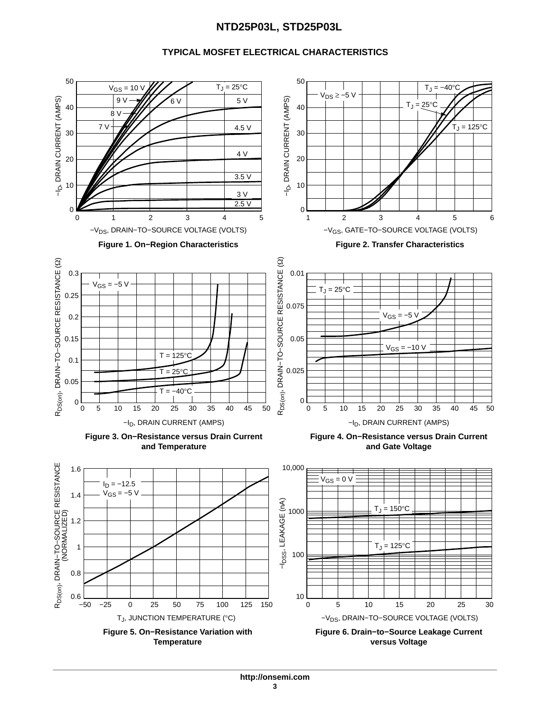## **TYPICAL MOSFET ELECTRICAL CHARACTERISTICS**

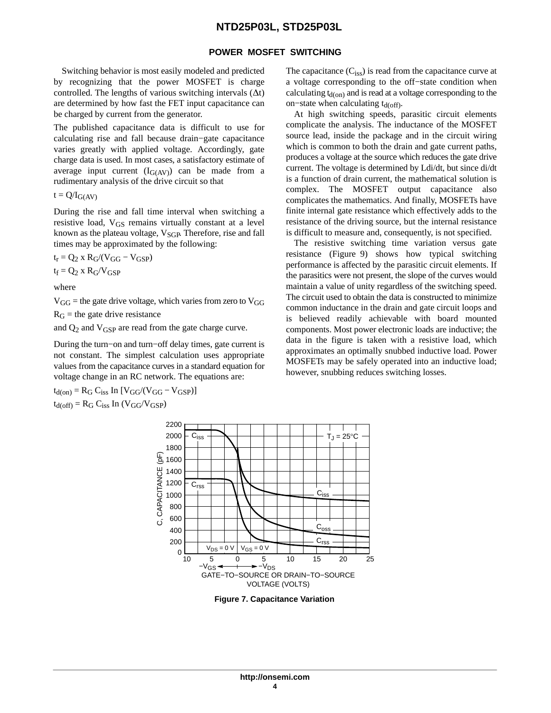#### **POWER MOSFET SWITCHING**

Switching behavior is most easily modeled and predicted by recognizing that the power MOSFET is charge controlled. The lengths of various switching intervals  $(\Delta t)$ are determined by how fast the FET input capacitance can be charged by current from the generator.

The published capacitance data is difficult to use for calculating rise and fall because drain−gate capacitance varies greatly with applied voltage. Accordingly, gate charge data is used. In most cases, a satisfactory estimate of average input current  $(I_{G(AV)})$  can be made from a rudimentary analysis of the drive circuit so that

 $t = Q/I_{G(AV)}$ 

During the rise and fall time interval when switching a resistive load,  $V_{GS}$  remains virtually constant at a level known as the plateau voltage,  $V_{\text{SGP}}$ . Therefore, rise and fall times may be approximated by the following:

 $t_r = Q_2$  x  $R_G/(V_{GG} - V_{GSP})$  $t_f = Q_2$  x  $R_G/V_{GSP}$ 

where

 $V_{GG}$  = the gate drive voltage, which varies from zero to  $V_{GG}$ 

 $R_G$  = the gate drive resistance

and  $Q_2$  and  $V_{\text{GSP}}$  are read from the gate charge curve.

During the turn−on and turn−off delay times, gate current is not constant. The simplest calculation uses appropriate values from the capacitance curves in a standard equation for voltage change in an RC network. The equations are:

 $t_{d(on)} = R_G C_{iss}$  In  $[V_{GG}/(V_{GG} - V_{GSP})]$  $t_{d(off)} = R_G C_{iss}$  In  $(V_{GG}/V_{GSP})$ 

The capacitance  $(C_{iss})$  is read from the capacitance curve at a voltage corresponding to the off−state condition when calculating  $t_{d(0n)}$  and is read at a voltage corresponding to the on–state when calculating t<sub>d(off)</sub>.

At high switching speeds, parasitic circuit elements complicate the analysis. The inductance of the MOSFET source lead, inside the package and in the circuit wiring which is common to both the drain and gate current paths, produces a voltage at the source which reduces the gate drive current. The voltage is determined by Ldi/dt, but since di/dt is a function of drain current, the mathematical solution is complex. The MOSFET output capacitance also complicates the mathematics. And finally, MOSFETs have finite internal gate resistance which effectively adds to the resistance of the driving source, but the internal resistance is difficult to measure and, consequently, is not specified.

The resistive switching time variation versus gate resistance (Figure [9](#page-4-0)) shows how typical switching performance is affected by the parasitic circuit elements. If the parasitics were not present, the slope of the curves would maintain a value of unity regardless of the switching speed. The circuit used to obtain the data is constructed to minimize common inductance in the drain and gate circuit loops and is believed readily achievable with board mounted components. Most power electronic loads are inductive; the data in the figure is taken with a resistive load, which approximates an optimally snubbed inductive load. Power MOSFETs may be safely operated into an inductive load; however, snubbing reduces switching losses.



**Figure 7. Capacitance Variation**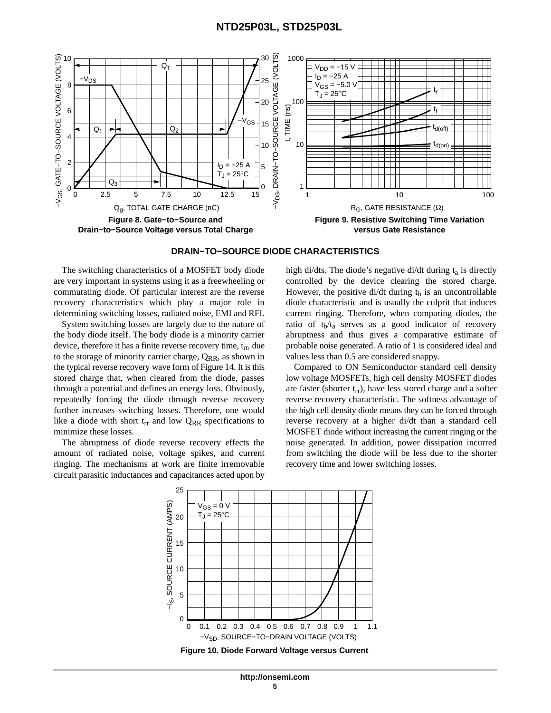<span id="page-4-0"></span>



The switching characteristics of a MOSFET body diode are very important in systems using it as a freewheeling or commutating diode. Of particular interest are the reverse recovery characteristics which play a major role in determining switching losses, radiated noise, EMI and RFI.

System switching losses are largely due to the nature of the body diode itself. The body diode is a minority carrier device, therefore it has a finite reverse recovery time, t<sub>rr</sub>, due to the storage of minority carrier charge,  $Q_{RR}$ , as shown in the typical reverse recovery wave form of Figure [14.](#page-6-0) It is this stored charge that, when cleared from the diode, passes through a potential and defines an energy loss. Obviously, repeatedly forcing the diode through reverse recovery further increases switching losses. Therefore, one would like a diode with short  $t_{rr}$  and low  $Q_{RR}$  specifications to minimize these losses.

The abruptness of diode reverse recovery effects the amount of radiated noise, voltage spikes, and current ringing. The mechanisms at work are finite irremovable circuit parasitic inductances and capacitances acted upon by high di/dts. The diode's negative di/dt during  $t_a$  is directly controlled by the device clearing the stored charge. However, the positive di/dt during  $t<sub>b</sub>$  is an uncontrollable diode characteristic and is usually the culprit that induces current ringing. Therefore, when comparing diodes, the ratio of  $t_b/t_a$  serves as a good indicator of recovery abruptness and thus gives a comparative estimate of probable noise generated. A ratio of 1 is considered ideal and values less than 0.5 are considered snappy.

Compared to ON Semiconductor standard cell density low voltage MOSFETs, high cell density MOSFET diodes are faster (shorter  $t_{rr}$ ), have less stored charge and a softer reverse recovery characteristic. The softness advantage of the high cell density diode means they can be forced through reverse recovery at a higher di/dt than a standard cell MOSFET diode without increasing the current ringing or the noise generated. In addition, power dissipation incurred from switching the diode will be less due to the shorter recovery time and lower switching losses.



**Figure 10. Diode Forward Voltage versus Current**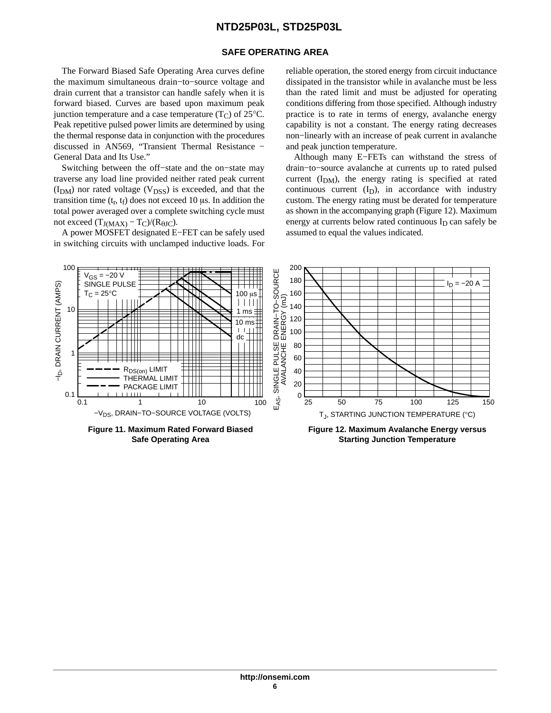### **SAFE OPERATING AREA**

The Forward Biased Safe Operating Area curves define the maximum simultaneous drain−to−source voltage and drain current that a transistor can handle safely when it is forward biased. Curves are based upon maximum peak junction temperature and a case temperature  $(T_C)$  of 25 $°C$ . Peak repetitive pulsed power limits are determined by using the thermal response data in conjunction with the procedures discussed in AN569, "Transient Thermal Resistance − General Data and Its Use."

Switching between the off−state and the on−state may traverse any load line provided neither rated peak current  $(I_{DM})$  nor rated voltage ( $V_{DSS}$ ) is exceeded, and that the transition time  $(t_r, t_f)$  does not exceed 10  $\mu$ s. In addition the total power averaged over a complete switching cycle must not exceed  $(T_{J(MAX)} - T_C)/(R_{\theta JC}).$ 

A power MOSFET designated E−FET can be safely used in switching circuits with unclamped inductive loads. For

reliable operation, the stored energy from circuit inductance dissipated in the transistor while in avalanche must be less than the rated limit and must be adjusted for operating conditions differing from those specified. Although industry practice is to rate in terms of energy, avalanche energy capability is not a constant. The energy rating decreases non−linearly with an increase of peak current in avalanche and peak junction temperature.

Although many E−FETs can withstand the stress of drain−to−source avalanche at currents up to rated pulsed current  $(I_{DM})$ , the energy rating is specified at rated continuous current  $(I_D)$ , in accordance with industry custom. The energy rating must be derated for temperature as shown in the accompanying graph (Figure 12). Maximum energy at currents below rated continuous  $I_D$  can safely be assumed to equal the values indicated.



**Safe Operating Area**

**Starting Junction Temperature**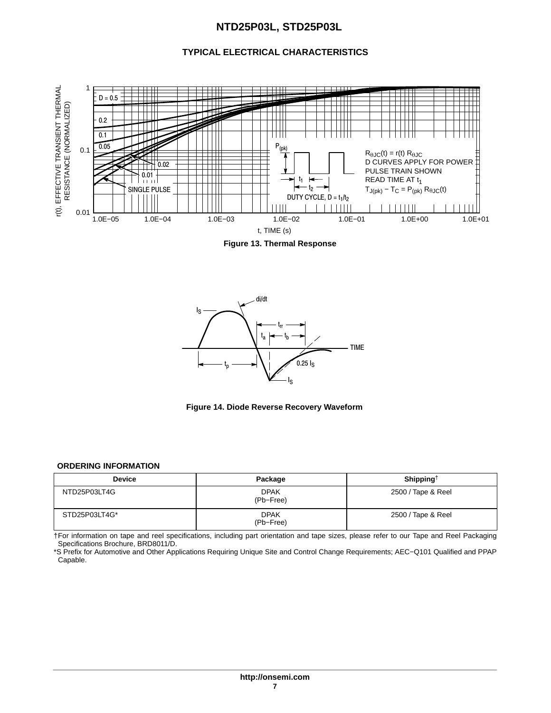## **TYPICAL ELECTRICAL CHARACTERISTICS**

<span id="page-6-0"></span>

**Figure 13. Thermal Response**





#### **ORDERING INFORMATION**

| <b>Device</b> | Package                  | Shipping <sup>†</sup> |
|---------------|--------------------------|-----------------------|
| NTD25P03LT4G  | <b>DPAK</b><br>(Pb-Free) | 2500 / Tape & Reel    |
| STD25P03LT4G* | <b>DPAK</b><br>(Pb-Free) | 2500 / Tape & Reel    |

†For information on tape and reel specifications, including part orientation and tape sizes, please refer to our Tape and Reel Packaging Specifications Brochure, BRD8011/D.

\*S Prefix for Automotive and Other Applications Requiring Unique Site and Control Change Requirements; AEC−Q101 Qualified and PPAP Capable.